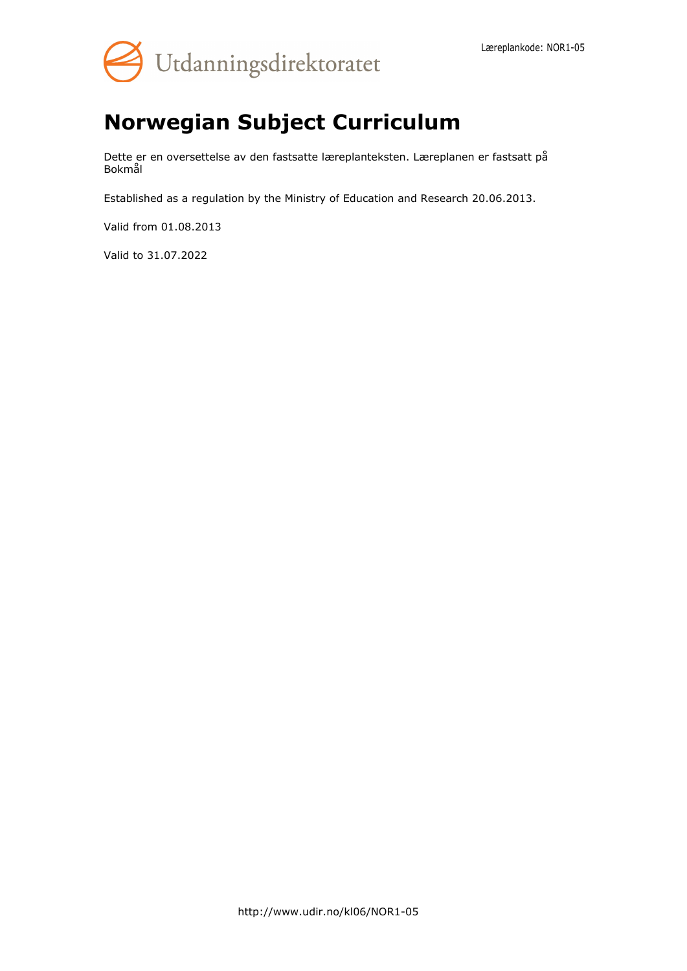

# **Norwegian Subject Curriculum**

Dette er en oversettelse av den fastsatte læreplanteksten. Læreplanen er fastsatt på Bokmål

Established as a regulation by the Ministry of Education and Research 20.06.2013.

Valid from 01.08.2013

Valid to 31.07.2022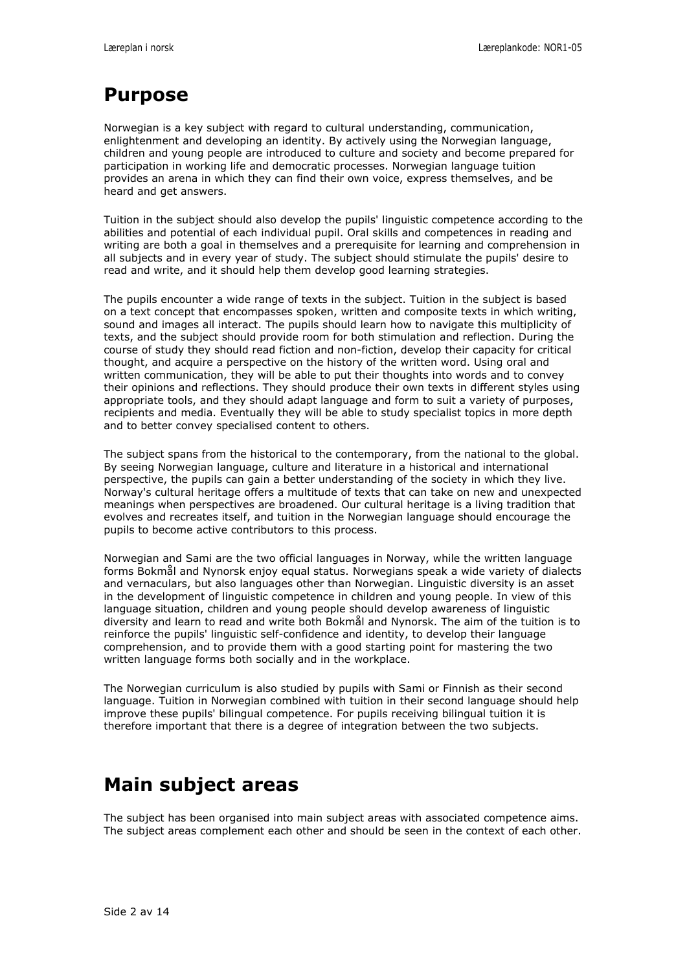# **Purpose**

Norwegian is a key subject with regard to cultural understanding, communication, enlightenment and developing an identity. By actively using the Norwegian language, children and young people are introduced to culture and society and become prepared for participation in working life and democratic processes. Norwegian language tuition provides an arena in which they can find their own voice, express themselves, and be heard and get answers.

Tuition in the subject should also develop the pupils' linguistic competence according to the abilities and potential of each individual pupil. Oral skills and competences in reading and writing are both a goal in themselves and a prerequisite for learning and comprehension in all subjects and in every year of study. The subject should stimulate the pupils' desire to read and write, and it should help them develop good learning strategies.

The pupils encounter a wide range of texts in the subject. Tuition in the subject is based on a text concept that encompasses spoken, written and composite texts in which writing, sound and images all interact. The pupils should learn how to navigate this multiplicity of texts, and the subject should provide room for both stimulation and reflection. During the course of study they should read fiction and non-fiction, develop their capacity for critical thought, and acquire a perspective on the history of the written word. Using oral and written communication, they will be able to put their thoughts into words and to convey their opinions and reflections. They should produce their own texts in different styles using appropriate tools, and they should adapt language and form to suit a variety of purposes, recipients and media. Eventually they will be able to study specialist topics in more depth and to better convey specialised content to others.

The subject spans from the historical to the contemporary, from the national to the global. By seeing Norwegian language, culture and literature in a historical and international perspective, the pupils can gain a better understanding of the society in which they live. Norway's cultural heritage offers a multitude of texts that can take on new and unexpected meanings when perspectives are broadened. Our cultural heritage is a living tradition that evolves and recreates itself, and tuition in the Norwegian language should encourage the pupils to become active contributors to this process.

Norwegian and Sami are the two official languages in Norway, while the written language forms Bokmål and Nynorsk enjoy equal status. Norwegians speak a wide variety of dialects and vernaculars, but also languages other than Norwegian. Linguistic diversity is an asset in the development of linguistic competence in children and young people. In view of this language situation, children and young people should develop awareness of linguistic diversity and learn to read and write both Bokmål and Nynorsk. The aim of the tuition is to reinforce the pupils' linguistic self-confidence and identity, to develop their language comprehension, and to provide them with a good starting point for mastering the two written language forms both socially and in the workplace.

The Norwegian curriculum is also studied by pupils with Sami or Finnish as their second language. Tuition in Norwegian combined with tuition in their second language should help improve these pupils' bilingual competence. For pupils receiving bilingual tuition it is therefore important that there is a degree of integration between the two subjects.

# **Main subject areas**

The subject has been organised into main subject areas with associated competence aims. The subject areas complement each other and should be seen in the context of each other.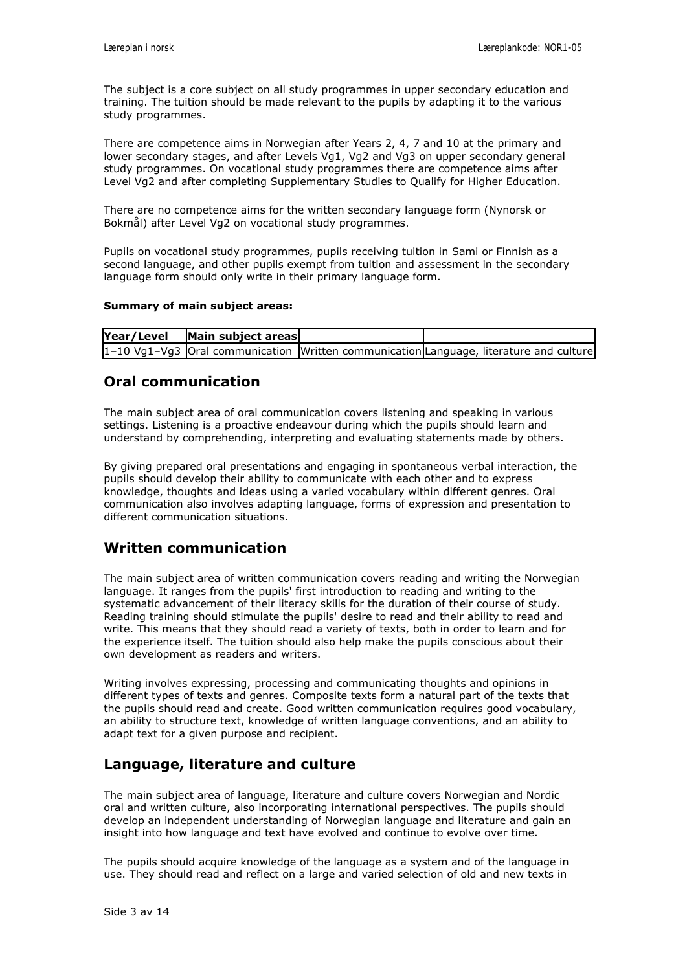The subject is a core subject on all study programmes in upper secondary education and training. The tuition should be made relevant to the pupils by adapting it to the various study programmes.

There are competence aims in Norwegian after Years 2, 4, 7 and 10 at the primary and lower secondary stages, and after Levels Vg1, Vg2 and Vg3 on upper secondary general study programmes. On vocational study programmes there are competence aims after Level Vg2 and after completing Supplementary Studies to Qualify for Higher Education.

There are no competence aims for the written secondary language form (Nynorsk or Bokmål) after Level Vg2 on vocational study programmes.

Pupils on vocational study programmes, pupils receiving tuition in Sami or Finnish as a second language, and other pupils exempt from tuition and assessment in the secondary language form should only write in their primary language form.

#### **Summary of main subject areas:**

| $\left  \frac{\text{Year}}{\text{Level}} \right $ $\left  \frac{\text{Main subject areas}}{\text{Area}} \right $ |                                                                                          |  |
|------------------------------------------------------------------------------------------------------------------|------------------------------------------------------------------------------------------|--|
|                                                                                                                  | $1-10$ Vg1-Vg3 Oral communication Written communication Language, literature and culture |  |

#### **Oral communication**

The main subject area of oral communication covers listening and speaking in various settings. Listening is a proactive endeavour during which the pupils should learn and understand by comprehending, interpreting and evaluating statements made by others.

By giving prepared oral presentations and engaging in spontaneous verbal interaction, the pupils should develop their ability to communicate with each other and to express knowledge, thoughts and ideas using a varied vocabulary within different genres. Oral communication also involves adapting language, forms of expression and presentation to different communication situations.

#### **Written communication**

The main subject area of written communication covers reading and writing the Norwegian language. It ranges from the pupils' first introduction to reading and writing to the systematic advancement of their literacy skills for the duration of their course of study. Reading training should stimulate the pupils' desire to read and their ability to read and write. This means that they should read a variety of texts, both in order to learn and for the experience itself. The tuition should also help make the pupils conscious about their own development as readers and writers.

Writing involves expressing, processing and communicating thoughts and opinions in different types of texts and genres. Composite texts form a natural part of the texts that the pupils should read and create. Good written communication requires good vocabulary, an ability to structure text, knowledge of written language conventions, and an ability to adapt text for a given purpose and recipient.

#### **Language, literature and culture**

The main subject area of language, literature and culture covers Norwegian and Nordic oral and written culture, also incorporating international perspectives. The pupils should develop an independent understanding of Norwegian language and literature and gain an insight into how language and text have evolved and continue to evolve over time.

The pupils should acquire knowledge of the language as a system and of the language in use. They should read and reflect on a large and varied selection of old and new texts in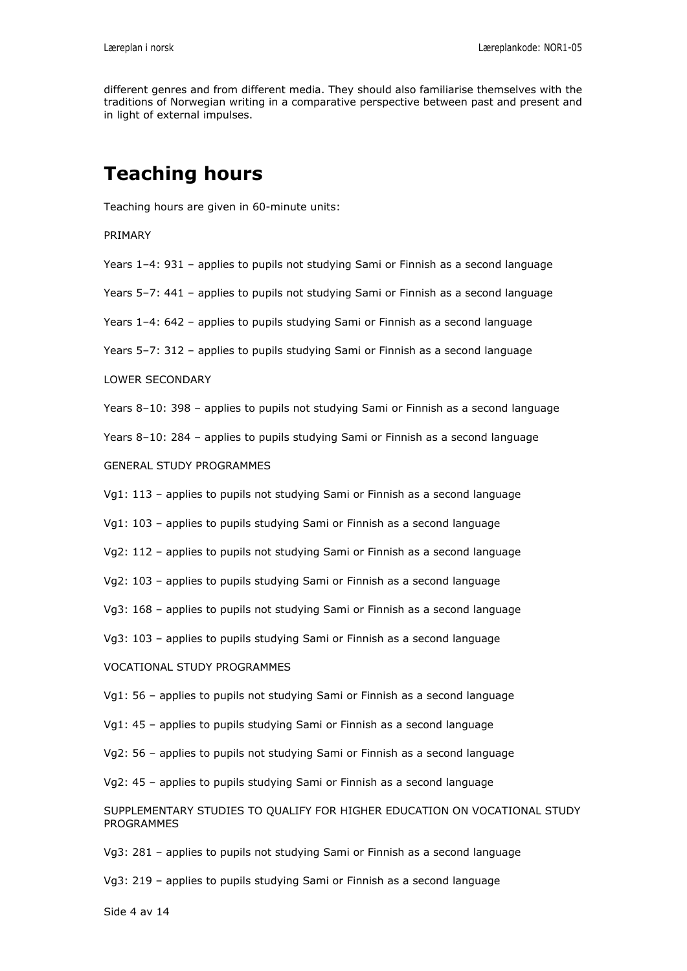different genres and from different media. They should also familiarise themselves with the traditions of Norwegian writing in a comparative perspective between past and present and in light of external impulses.

## **Teaching hours**

Teaching hours are given in 60-minute units:

PRIMARY

Years 1–4: 931 – applies to pupils not studying Sami or Finnish as a second language

Years 5–7: 441 – applies to pupils not studying Sami or Finnish as a second language

Years 1–4: 642 – applies to pupils studying Sami or Finnish as a second language

Years 5–7: 312 – applies to pupils studying Sami or Finnish as a second language

#### LOWER SECONDARY

Years 8–10: 398 – applies to pupils not studying Sami or Finnish as a second language

Years 8–10: 284 – applies to pupils studying Sami or Finnish as a second language

GENERAL STUDY PROGRAMMES

Vg1: 113 – applies to pupils not studying Sami or Finnish as a second language

Vg1: 103 – applies to pupils studying Sami or Finnish as a second language

Vg2: 112 – applies to pupils not studying Sami or Finnish as a second language

Vg2: 103 – applies to pupils studying Sami or Finnish as a second language

Vg3: 168 – applies to pupils not studying Sami or Finnish as a second language

Vg3: 103 – applies to pupils studying Sami or Finnish as a second language

VOCATIONAL STUDY PROGRAMMES

Vg1: 56 – applies to pupils not studying Sami or Finnish as a second language

Vg1: 45 – applies to pupils studying Sami or Finnish as a second language

Vg2: 56 – applies to pupils not studying Sami or Finnish as a second language

Vg2: 45 – applies to pupils studying Sami or Finnish as a second language

SUPPLEMENTARY STUDIES TO QUALIFY FOR HIGHER EDUCATION ON VOCATIONAL STUDY PROGRAMMES

Vg3: 281 – applies to pupils not studying Sami or Finnish as a second language

Vg3: 219 – applies to pupils studying Sami or Finnish as a second language

Side 4 av 14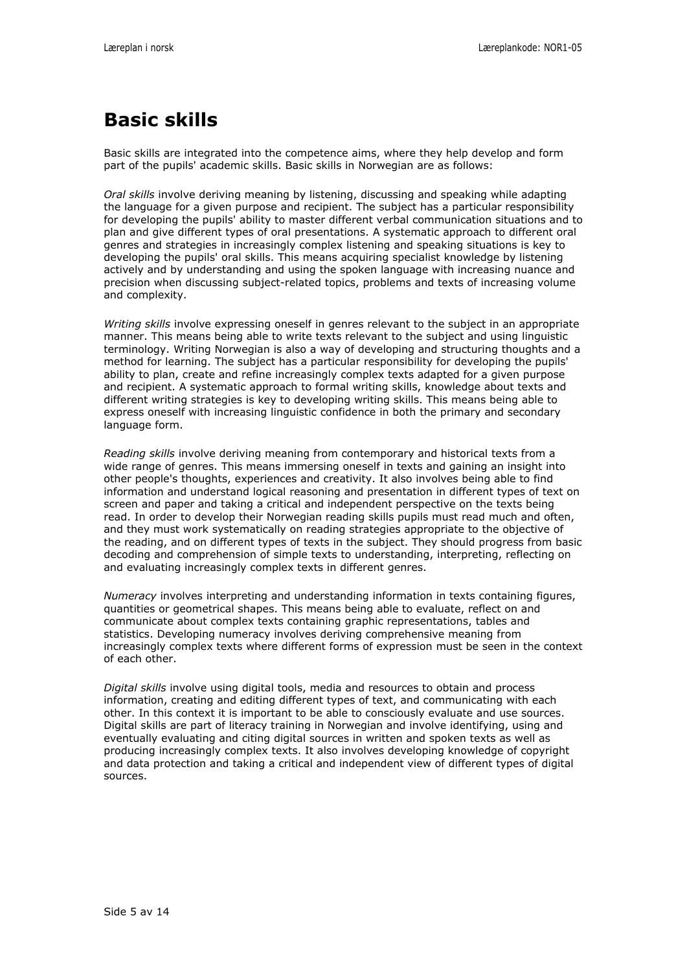# **Basic skills**

Basic skills are integrated into the competence aims, where they help develop and form part of the pupils' academic skills. Basic skills in Norwegian are as follows:

*Oral skills* involve deriving meaning by listening, discussing and speaking while adapting the language for a given purpose and recipient. The subject has a particular responsibility for developing the pupils' ability to master different verbal communication situations and to plan and give different types of oral presentations. A systematic approach to different oral genres and strategies in increasingly complex listening and speaking situations is key to developing the pupils' oral skills. This means acquiring specialist knowledge by listening actively and by understanding and using the spoken language with increasing nuance and precision when discussing subject-related topics, problems and texts of increasing volume and complexity.

*Writing skills* involve expressing oneself in genres relevant to the subject in an appropriate manner. This means being able to write texts relevant to the subject and using linguistic terminology. Writing Norwegian is also a way of developing and structuring thoughts and a method for learning. The subject has a particular responsibility for developing the pupils' ability to plan, create and refine increasingly complex texts adapted for a given purpose and recipient. A systematic approach to formal writing skills, knowledge about texts and different writing strategies is key to developing writing skills. This means being able to express oneself with increasing linguistic confidence in both the primary and secondary language form.

*Reading skills* involve deriving meaning from contemporary and historical texts from a wide range of genres. This means immersing oneself in texts and gaining an insight into other people's thoughts, experiences and creativity. It also involves being able to find information and understand logical reasoning and presentation in different types of text on screen and paper and taking a critical and independent perspective on the texts being read. In order to develop their Norwegian reading skills pupils must read much and often, and they must work systematically on reading strategies appropriate to the objective of the reading, and on different types of texts in the subject. They should progress from basic decoding and comprehension of simple texts to understanding, interpreting, reflecting on and evaluating increasingly complex texts in different genres.

*Numeracy* involves interpreting and understanding information in texts containing figures, quantities or geometrical shapes. This means being able to evaluate, reflect on and communicate about complex texts containing graphic representations, tables and statistics. Developing numeracy involves deriving comprehensive meaning from increasingly complex texts where different forms of expression must be seen in the context of each other.

*Digital skills* involve using digital tools, media and resources to obtain and process information, creating and editing different types of text, and communicating with each other. In this context it is important to be able to consciously evaluate and use sources. Digital skills are part of literacy training in Norwegian and involve identifying, using and eventually evaluating and citing digital sources in written and spoken texts as well as producing increasingly complex texts. It also involves developing knowledge of copyright and data protection and taking a critical and independent view of different types of digital sources.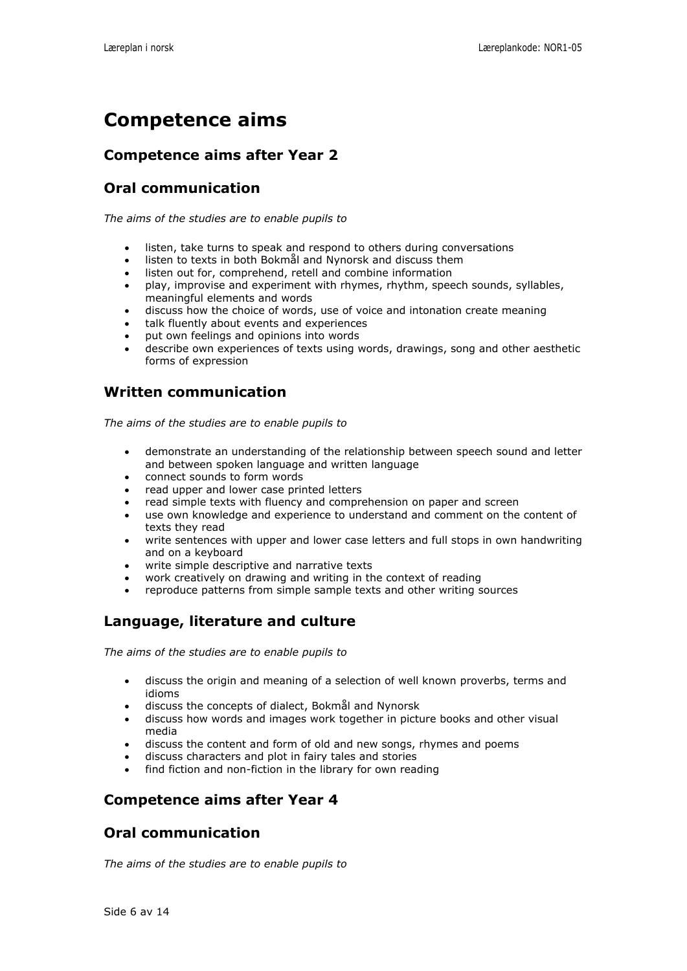## **Competence aims**

#### **Competence aims after Year 2**

## **Oral communication**

*The aims of the studies are to enable pupils to*

- listen, take turns to speak and respond to others during conversations
- listen to texts in both Bokmål and Nynorsk and discuss them
- listen out for, comprehend, retell and combine information
- play, improvise and experiment with rhymes, rhythm, speech sounds, syllables, meaningful elements and words
- discuss how the choice of words, use of voice and intonation create meaning
- talk fluently about events and experiences
- put own feelings and opinions into words
- describe own experiences of texts using words, drawings, song and other aesthetic forms of expression

#### **Written communication**

*The aims of the studies are to enable pupils to*

- demonstrate an understanding of the relationship between speech sound and letter and between spoken language and written language
- connect sounds to form words
- read upper and lower case printed letters
- read simple texts with fluency and comprehension on paper and screen
- use own knowledge and experience to understand and comment on the content of texts they read
- write sentences with upper and lower case letters and full stops in own handwriting and on a keyboard
- write simple descriptive and narrative texts
- work creatively on drawing and writing in the context of reading
- reproduce patterns from simple sample texts and other writing sources

#### **Language, literature and culture**

*The aims of the studies are to enable pupils to*

- discuss the origin and meaning of a selection of well known proverbs, terms and idioms
- discuss the concepts of dialect, Bokmål and Nynorsk
- discuss how words and images work together in picture books and other visual media
- discuss the content and form of old and new songs, rhymes and poems
- discuss characters and plot in fairy tales and stories
- find fiction and non-fiction in the library for own reading

#### **Competence aims after Year 4**

#### **Oral communication**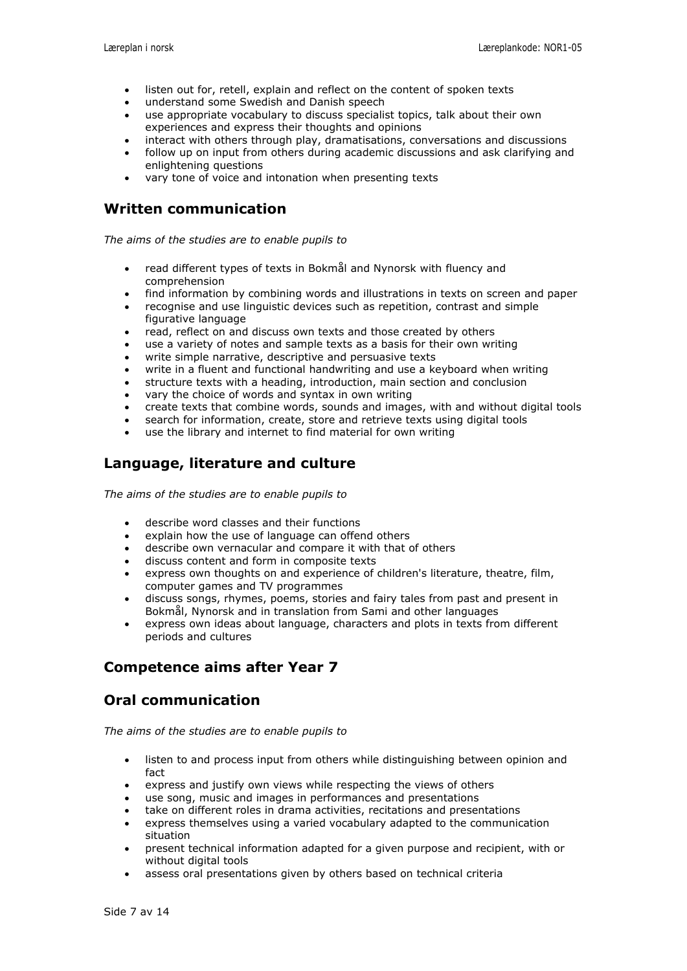- listen out for, retell, explain and reflect on the content of spoken texts
- understand some Swedish and Danish speech
- use appropriate vocabulary to discuss specialist topics, talk about their own experiences and express their thoughts and opinions
- interact with others through play, dramatisations, conversations and discussions
- follow up on input from others during academic discussions and ask clarifying and enlightening questions
- vary tone of voice and intonation when presenting texts

*The aims of the studies are to enable pupils to*

- read different types of texts in Bokmål and Nynorsk with fluency and comprehension
- find information by combining words and illustrations in texts on screen and paper
- recognise and use linguistic devices such as repetition, contrast and simple figurative language
- read, reflect on and discuss own texts and those created by others
- use a variety of notes and sample texts as a basis for their own writing
- write simple narrative, descriptive and persuasive texts
- write in a fluent and functional handwriting and use a keyboard when writing
- structure texts with a heading, introduction, main section and conclusion
- vary the choice of words and syntax in own writing
- create texts that combine words, sounds and images, with and without digital tools
- search for information, create, store and retrieve texts using digital tools
- use the library and internet to find material for own writing

#### **Language, literature and culture**

*The aims of the studies are to enable pupils to*

- describe word classes and their functions
- explain how the use of language can offend others
- describe own vernacular and compare it with that of others
- discuss content and form in composite texts
- express own thoughts on and experience of children's literature, theatre, film, computer games and TV programmes
- discuss songs, rhymes, poems, stories and fairy tales from past and present in Bokmål, Nynorsk and in translation from Sami and other languages
- express own ideas about language, characters and plots in texts from different periods and cultures

#### **Competence aims after Year 7**

#### **Oral communication**

- listen to and process input from others while distinguishing between opinion and fact
- express and justify own views while respecting the views of others
- use song, music and images in performances and presentations
- take on different roles in drama activities, recitations and presentations
- express themselves using a varied vocabulary adapted to the communication situation
- present technical information adapted for a given purpose and recipient, with or without digital tools
- assess oral presentations given by others based on technical criteria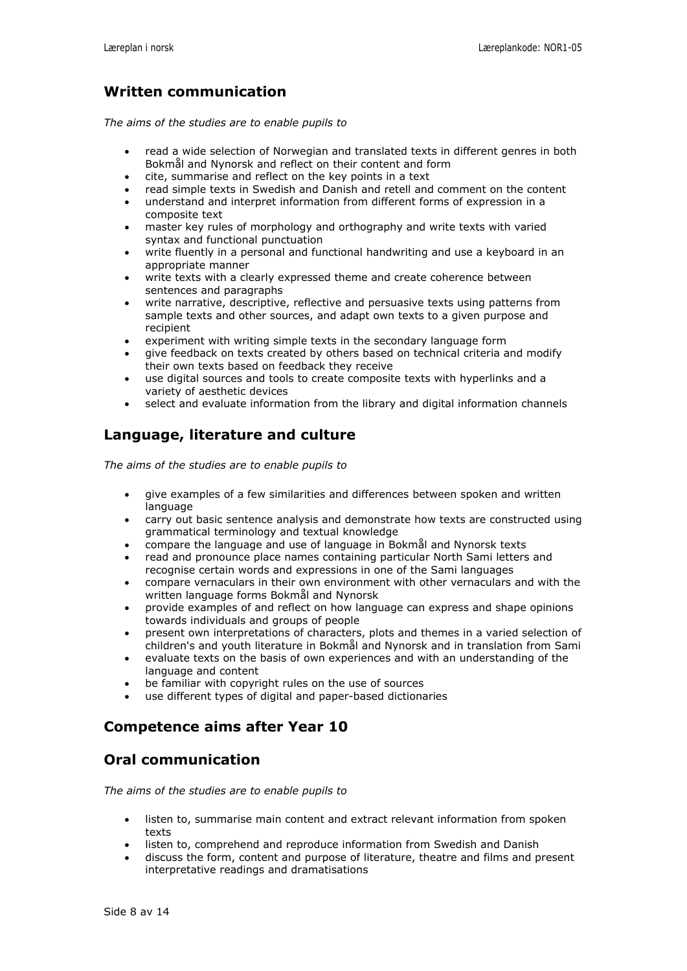*The aims of the studies are to enable pupils to*

- read a wide selection of Norwegian and translated texts in different genres in both Bokmål and Nynorsk and reflect on their content and form
- cite, summarise and reflect on the key points in a text
- read simple texts in Swedish and Danish and retell and comment on the content
- understand and interpret information from different forms of expression in a composite text
- master key rules of morphology and orthography and write texts with varied syntax and functional punctuation
- write fluently in a personal and functional handwriting and use a keyboard in an appropriate manner
- write texts with a clearly expressed theme and create coherence between sentences and paragraphs
- write narrative, descriptive, reflective and persuasive texts using patterns from sample texts and other sources, and adapt own texts to a given purpose and recipient
- experiment with writing simple texts in the secondary language form
- give feedback on texts created by others based on technical criteria and modify their own texts based on feedback they receive
- use digital sources and tools to create composite texts with hyperlinks and a variety of aesthetic devices
- select and evaluate information from the library and digital information channels

## **Language, literature and culture**

*The aims of the studies are to enable pupils to*

- give examples of a few similarities and differences between spoken and written language
- carry out basic sentence analysis and demonstrate how texts are constructed using grammatical terminology and textual knowledge
- compare the language and use of language in Bokmål and Nynorsk texts
- read and pronounce place names containing particular North Sami letters and recognise certain words and expressions in one of the Sami languages
- compare vernaculars in their own environment with other vernaculars and with the written language forms Bokmål and Nynorsk
- provide examples of and reflect on how language can express and shape opinions towards individuals and groups of people
- present own interpretations of characters, plots and themes in a varied selection of children's and youth literature in Bokmål and Nynorsk and in translation from Sami
- evaluate texts on the basis of own experiences and with an understanding of the language and content
- be familiar with copyright rules on the use of sources
- use different types of digital and paper-based dictionaries

#### **Competence aims after Year 10**

#### **Oral communication**

- listen to, summarise main content and extract relevant information from spoken texts
- listen to, comprehend and reproduce information from Swedish and Danish
- discuss the form, content and purpose of literature, theatre and films and present interpretative readings and dramatisations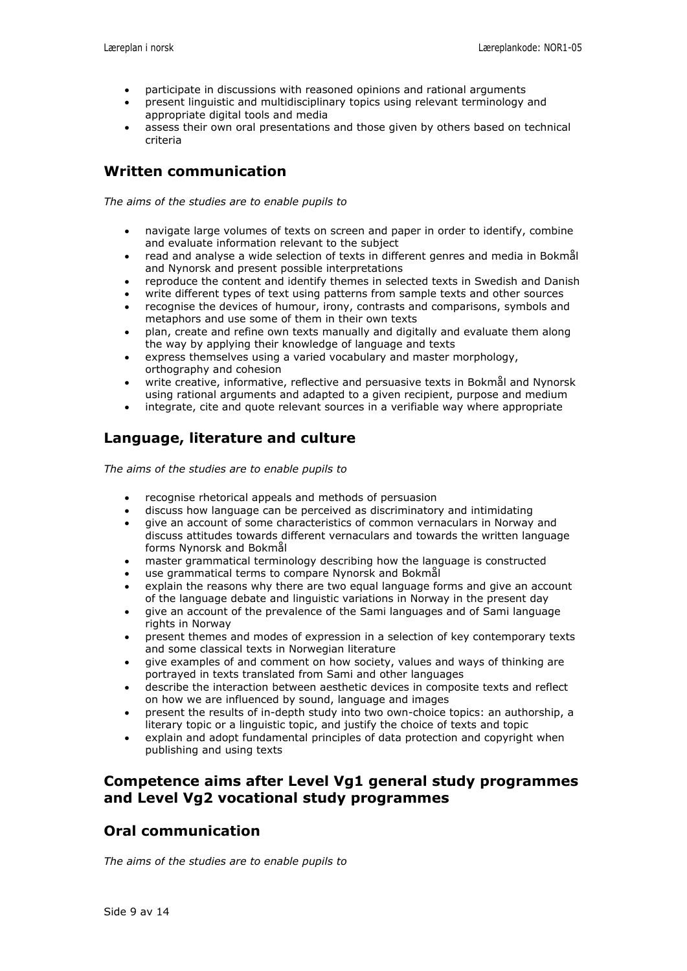- participate in discussions with reasoned opinions and rational arguments
- present linguistic and multidisciplinary topics using relevant terminology and appropriate digital tools and media
- assess their own oral presentations and those given by others based on technical criteria

*The aims of the studies are to enable pupils to*

- navigate large volumes of texts on screen and paper in order to identify, combine and evaluate information relevant to the subject
- read and analyse a wide selection of texts in different genres and media in Bokmål and Nynorsk and present possible interpretations
- reproduce the content and identify themes in selected texts in Swedish and Danish
- write different types of text using patterns from sample texts and other sources
- recognise the devices of humour, irony, contrasts and comparisons, symbols and metaphors and use some of them in their own texts
- plan, create and refine own texts manually and digitally and evaluate them along the way by applying their knowledge of language and texts
- express themselves using a varied vocabulary and master morphology, orthography and cohesion
- write creative, informative, reflective and persuasive texts in Bokmål and Nynorsk using rational arguments and adapted to a given recipient, purpose and medium
- integrate, cite and quote relevant sources in a verifiable way where appropriate

## **Language, literature and culture**

*The aims of the studies are to enable pupils to*

- recognise rhetorical appeals and methods of persuasion
- discuss how language can be perceived as discriminatory and intimidating
- give an account of some characteristics of common vernaculars in Norway and discuss attitudes towards different vernaculars and towards the written language forms Nynorsk and Bokmål
- master grammatical terminology describing how the language is constructed
- use grammatical terms to compare Nynorsk and Bokmål
- explain the reasons why there are two equal language forms and give an account of the language debate and linguistic variations in Norway in the present day
- give an account of the prevalence of the Sami languages and of Sami language rights in Norway
- present themes and modes of expression in a selection of key contemporary texts and some classical texts in Norwegian literature
- give examples of and comment on how society, values and ways of thinking are portrayed in texts translated from Sami and other languages
- describe the interaction between aesthetic devices in composite texts and reflect on how we are influenced by sound, language and images
- present the results of in-depth study into two own-choice topics: an authorship, a literary topic or a linguistic topic, and justify the choice of texts and topic
- explain and adopt fundamental principles of data protection and copyright when publishing and using texts

#### **Competence aims after Level Vg1 general study programmes and Level Vg2 vocational study programmes**

#### **Oral communication**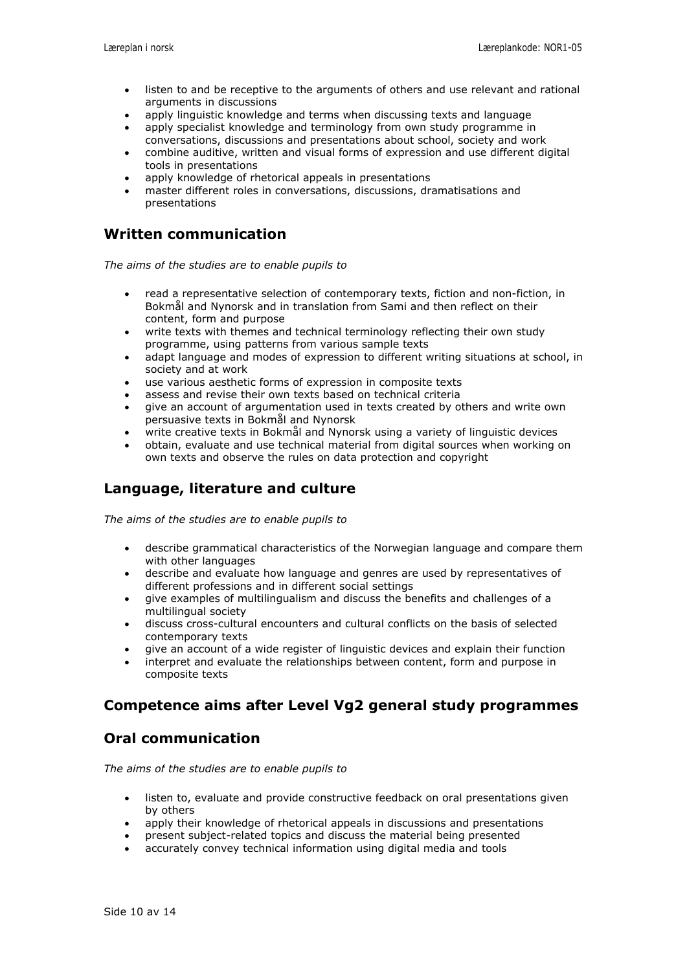- listen to and be receptive to the arguments of others and use relevant and rational arguments in discussions
- apply linguistic knowledge and terms when discussing texts and language
- apply specialist knowledge and terminology from own study programme in conversations, discussions and presentations about school, society and work
- combine auditive, written and visual forms of expression and use different digital tools in presentations
- apply knowledge of rhetorical appeals in presentations
- master different roles in conversations, discussions, dramatisations and presentations

*The aims of the studies are to enable pupils to*

- read a representative selection of contemporary texts, fiction and non-fiction, in Bokmål and Nynorsk and in translation from Sami and then reflect on their content, form and purpose
- write texts with themes and technical terminology reflecting their own study programme, using patterns from various sample texts
- adapt language and modes of expression to different writing situations at school, in society and at work
- use various aesthetic forms of expression in composite texts
- assess and revise their own texts based on technical criteria
- give an account of argumentation used in texts created by others and write own persuasive texts in Bokmål and Nynorsk
- write creative texts in Bokmål and Nynorsk using a variety of linguistic devices
- obtain, evaluate and use technical material from digital sources when working on own texts and observe the rules on data protection and copyright

#### **Language, literature and culture**

*The aims of the studies are to enable pupils to*

- describe grammatical characteristics of the Norwegian language and compare them with other languages
- describe and evaluate how language and genres are used by representatives of different professions and in different social settings
- give examples of multilingualism and discuss the benefits and challenges of a multilingual society
- discuss cross-cultural encounters and cultural conflicts on the basis of selected contemporary texts
- give an account of a wide register of linguistic devices and explain their function
- interpret and evaluate the relationships between content, form and purpose in composite texts

#### **Competence aims after Level Vg2 general study programmes**

#### **Oral communication**

- listen to, evaluate and provide constructive feedback on oral presentations given by others
- apply their knowledge of rhetorical appeals in discussions and presentations
- present subject-related topics and discuss the material being presented
- accurately convey technical information using digital media and tools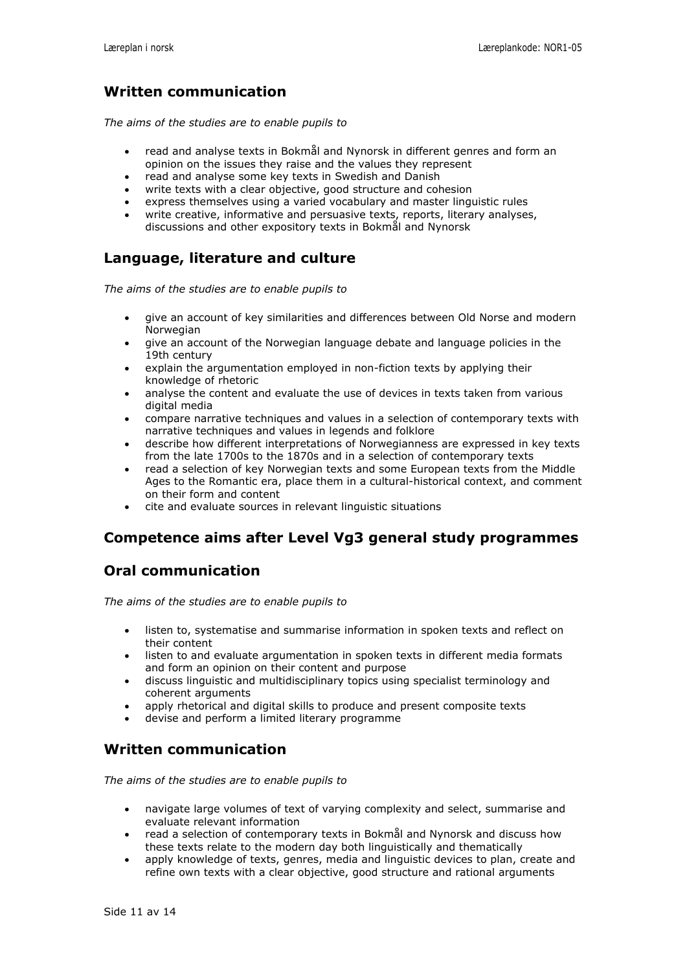*The aims of the studies are to enable pupils to*

- read and analyse texts in Bokmål and Nynorsk in different genres and form an opinion on the issues they raise and the values they represent
- read and analyse some key texts in Swedish and Danish
- write texts with a clear objective, good structure and cohesion
- express themselves using a varied vocabulary and master linguistic rules
- write creative, informative and persuasive texts, reports, literary analyses, discussions and other expository texts in Bokmål and Nynorsk

#### **Language, literature and culture**

*The aims of the studies are to enable pupils to*

- give an account of key similarities and differences between Old Norse and modern Norwegian
- give an account of the Norwegian language debate and language policies in the 19th century
- explain the argumentation employed in non-fiction texts by applying their knowledge of rhetoric
- analyse the content and evaluate the use of devices in texts taken from various digital media
- compare narrative techniques and values in a selection of contemporary texts with narrative techniques and values in legends and folklore
- describe how different interpretations of Norwegianness are expressed in key texts from the late 1700s to the 1870s and in a selection of contemporary texts
- read a selection of key Norwegian texts and some European texts from the Middle Ages to the Romantic era, place them in a cultural-historical context, and comment on their form and content
- cite and evaluate sources in relevant linguistic situations

#### **Competence aims after Level Vg3 general study programmes**

#### **Oral communication**

*The aims of the studies are to enable pupils to*

- listen to, systematise and summarise information in spoken texts and reflect on their content
- listen to and evaluate argumentation in spoken texts in different media formats and form an opinion on their content and purpose
- discuss linguistic and multidisciplinary topics using specialist terminology and coherent arguments
- apply rhetorical and digital skills to produce and present composite texts
- devise and perform a limited literary programme

#### **Written communication**

- navigate large volumes of text of varying complexity and select, summarise and evaluate relevant information
- read a selection of contemporary texts in Bokmål and Nynorsk and discuss how these texts relate to the modern day both linguistically and thematically
- apply knowledge of texts, genres, media and linguistic devices to plan, create and refine own texts with a clear objective, good structure and rational arguments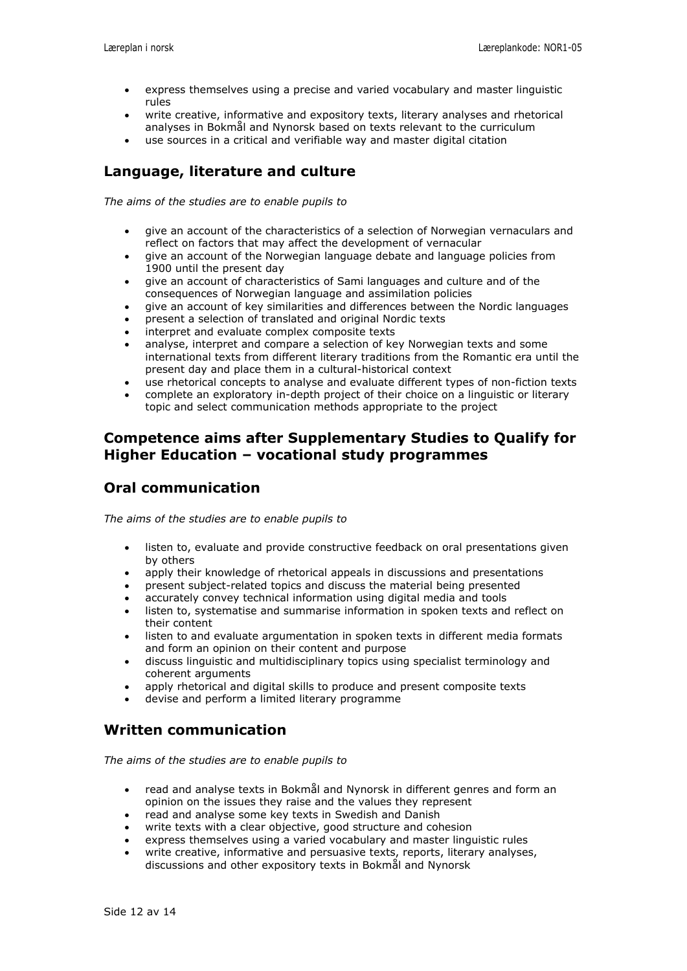- express themselves using a precise and varied vocabulary and master linguistic rules
- write creative, informative and expository texts, literary analyses and rhetorical analyses in Bokmål and Nynorsk based on texts relevant to the curriculum
- use sources in a critical and verifiable way and master digital citation

## **Language, literature and culture**

*The aims of the studies are to enable pupils to*

- give an account of the characteristics of a selection of Norwegian vernaculars and reflect on factors that may affect the development of vernacular
- give an account of the Norwegian language debate and language policies from 1900 until the present day
- give an account of characteristics of Sami languages and culture and of the consequences of Norwegian language and assimilation policies
- give an account of key similarities and differences between the Nordic languages
- present a selection of translated and original Nordic texts
- interpret and evaluate complex composite texts
- analyse, interpret and compare a selection of key Norwegian texts and some international texts from different literary traditions from the Romantic era until the present day and place them in a cultural-historical context
- use rhetorical concepts to analyse and evaluate different types of non-fiction texts
- complete an exploratory in-depth project of their choice on a linguistic or literary topic and select communication methods appropriate to the project

#### **Competence aims after Supplementary Studies to Qualify for Higher Education – vocational study programmes**

#### **Oral communication**

*The aims of the studies are to enable pupils to*

- listen to, evaluate and provide constructive feedback on oral presentations given by others
- apply their knowledge of rhetorical appeals in discussions and presentations
- present subject-related topics and discuss the material being presented
- accurately convey technical information using digital media and tools
- listen to, systematise and summarise information in spoken texts and reflect on their content
- listen to and evaluate argumentation in spoken texts in different media formats and form an opinion on their content and purpose
- discuss linguistic and multidisciplinary topics using specialist terminology and coherent arguments
- apply rhetorical and digital skills to produce and present composite texts
- devise and perform a limited literary programme

#### **Written communication**

- read and analyse texts in Bokmål and Nynorsk in different genres and form an opinion on the issues they raise and the values they represent
- read and analyse some key texts in Swedish and Danish
- write texts with a clear objective, good structure and cohesion
- express themselves using a varied vocabulary and master linguistic rules
- write creative, informative and persuasive texts, reports, literary analyses, discussions and other expository texts in Bokmål and Nynorsk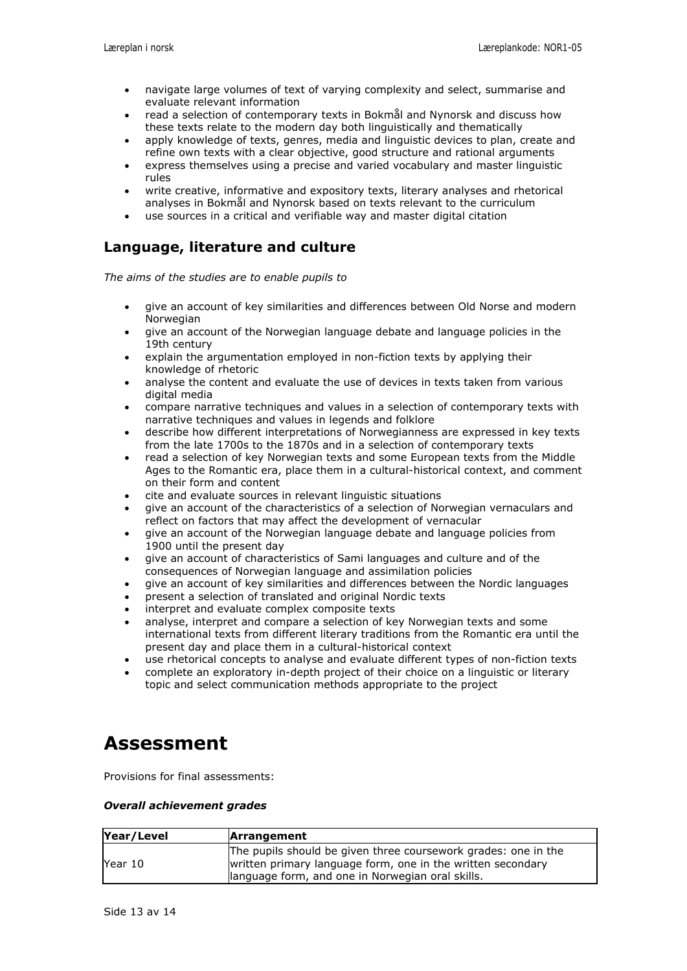- navigate large volumes of text of varying complexity and select, summarise and evaluate relevant information
- read a selection of contemporary texts in Bokmål and Nynorsk and discuss how these texts relate to the modern day both linguistically and thematically
- apply knowledge of texts, genres, media and linguistic devices to plan, create and refine own texts with a clear objective, good structure and rational arguments
- express themselves using a precise and varied vocabulary and master linguistic rules
- write creative, informative and expository texts, literary analyses and rhetorical analyses in Bokmål and Nynorsk based on texts relevant to the curriculum
- use sources in a critical and verifiable way and master digital citation

#### **Language, literature and culture**

*The aims of the studies are to enable pupils to*

- give an account of key similarities and differences between Old Norse and modern Norwegian
- give an account of the Norwegian language debate and language policies in the 19th century
- explain the argumentation employed in non-fiction texts by applying their knowledge of rhetoric
- analyse the content and evaluate the use of devices in texts taken from various digital media
- compare narrative techniques and values in a selection of contemporary texts with narrative techniques and values in legends and folklore
- describe how different interpretations of Norwegianness are expressed in key texts from the late 1700s to the 1870s and in a selection of contemporary texts
- read a selection of key Norwegian texts and some European texts from the Middle Ages to the Romantic era, place them in a cultural-historical context, and comment on their form and content
- cite and evaluate sources in relevant linguistic situations
- give an account of the characteristics of a selection of Norwegian vernaculars and reflect on factors that may affect the development of vernacular
- give an account of the Norwegian language debate and language policies from 1900 until the present day
- give an account of characteristics of Sami languages and culture and of the consequences of Norwegian language and assimilation policies
- give an account of key similarities and differences between the Nordic languages
- present a selection of translated and original Nordic texts
- interpret and evaluate complex composite texts
- analyse, interpret and compare a selection of key Norwegian texts and some international texts from different literary traditions from the Romantic era until the present day and place them in a cultural-historical context
- use rhetorical concepts to analyse and evaluate different types of non-fiction texts
- complete an exploratory in-depth project of their choice on a linguistic or literary topic and select communication methods appropriate to the project

## **Assessment**

Provisions for final assessments:

#### *Overall achievement grades*

| Year/Level | <b>Arrangement</b>                                                                                                                                                                |  |
|------------|-----------------------------------------------------------------------------------------------------------------------------------------------------------------------------------|--|
| Year 10    | The pupils should be given three coursework grades: one in the<br>written primary language form, one in the written secondary<br>language form, and one in Norwegian oral skills. |  |